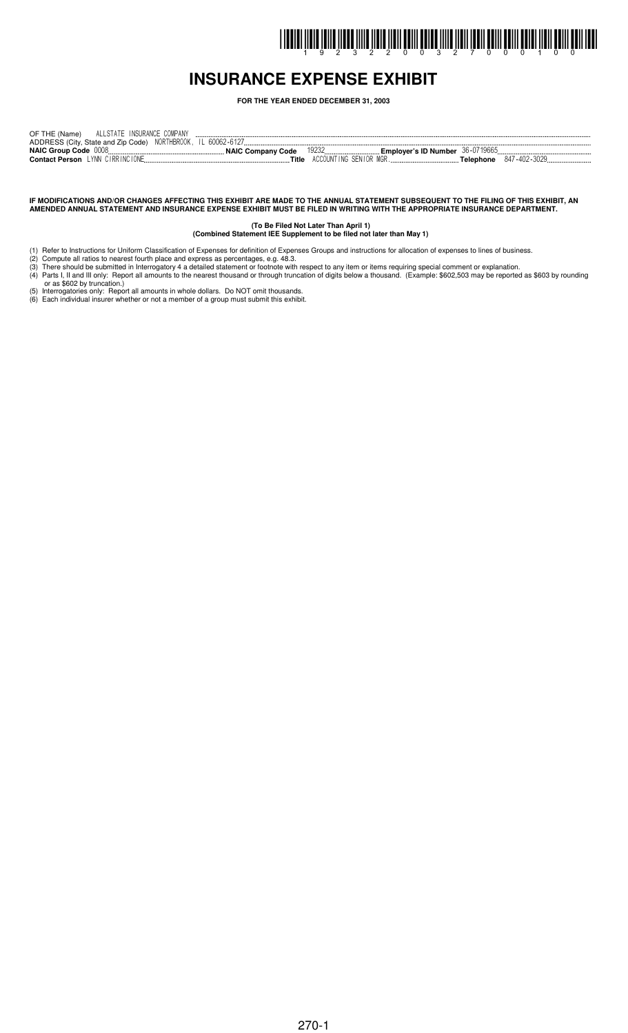# I INDINI İLDIR İZILDI İLDIR İLILDI İLDIL ÖRDIL ÖLLER İLDIR İLDIL İLDIL ÖRDIL ÖRDIL ÖLLER İLDIL ÖRDIL ISDIL ISD

## **INSURANCE EXPENSE EXHIBIT**

**FOR THE YEAR ENDED DECEMBER 31, 2003**

| ADDRESS (City, State and Zip Code) NORTHBROOK, IL 60062-6127                                                      |  |
|-------------------------------------------------------------------------------------------------------------------|--|
|                                                                                                                   |  |
| <b>NAIC Group Code 0008</b><br>19232 — 1930<br><b>Emplover's ID Number</b> $36 - 0719665$<br>NAIC Company Code    |  |
| ACCOUNTING SENIOR MGR.<br><b>Contact Person</b> LYNN CIRRINCIONE<br><b>Telephone</b> 847-402-3029<br><b>Title</b> |  |

#### IF MODIFICATIONS AND/OR CHANGES AFFECTING THIS EXHIBIT ARE MADE TO THE ANNUAL STATEMENT SUBSEQUENT TO THE FILING OF THIS EXHIBIT, AN AMENDED ANNUAL STATEMENT AND INSURANCE EXPENSE EXHIBIT MUST BE FILED IN WRITING WITH THE APPROPRIATE INSURANCE DEPARTMENT.

**(To Be Filed Not Later Than April 1) (Combined Statement IEE Supplement to be filed not later than May 1)**

- (1) Refer to Instructions for Uniform Classification of Expenses for definition of Expenses Groups and instructions for allocation of expenses to lines of business.
- (2) Compute all ratios to nearest fourth place and express as percentages, e.g. 48.3. (3) There should be submitted in Interrogatory 4 a detailed statement or footnote with respect to any item or items requiring special comment or explanation.
- (4) Parts I, II and III only: Report all amounts to the nearest thousand or through truncation of digits below a thousand. (Example: \$602,503 may be reported as \$603 by rounding or as \$602 by truncation.)
- (5) Interrogatories only: Report all amounts in whole dollars. Do NOT omit thousands.
- (6) Each individual insurer whether or not a member of a group must submit this exhibit.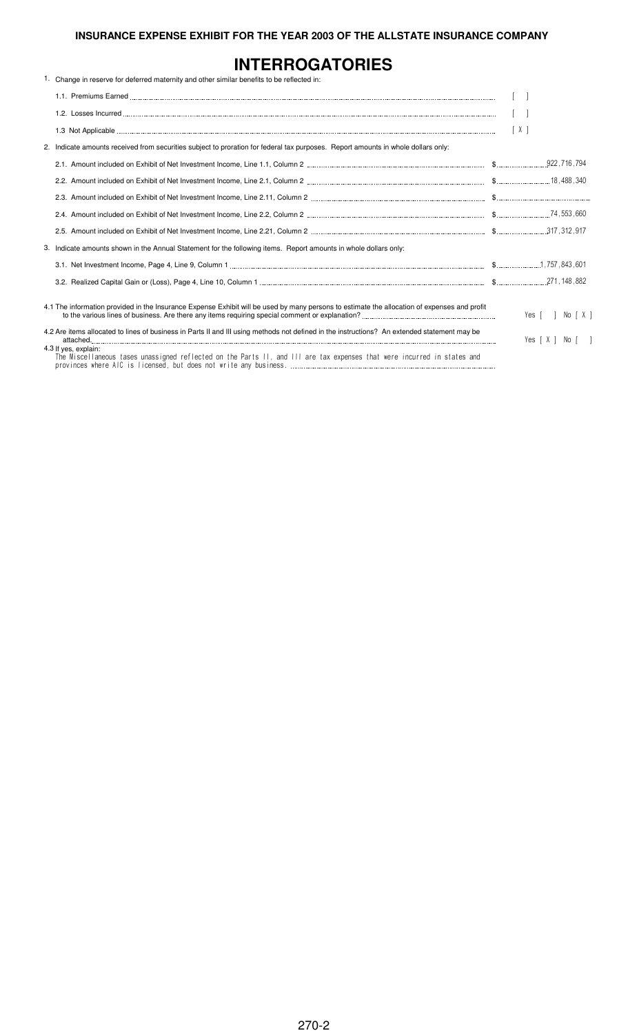# **INTERROGATORIES**

| 1. Change in reserve for deferred maternity and other similar benefits to be reflected in:                                                      |                  |  |
|-------------------------------------------------------------------------------------------------------------------------------------------------|------------------|--|
|                                                                                                                                                 |                  |  |
|                                                                                                                                                 |                  |  |
|                                                                                                                                                 | [X]              |  |
| 2. Indicate amounts received from securities subject to proration for federal tax purposes. Report amounts in whole dollars only:               |                  |  |
|                                                                                                                                                 |                  |  |
|                                                                                                                                                 |                  |  |
|                                                                                                                                                 |                  |  |
|                                                                                                                                                 |                  |  |
|                                                                                                                                                 |                  |  |
| 3. Indicate amounts shown in the Annual Statement for the following items. Report amounts in whole dollars only:                                |                  |  |
|                                                                                                                                                 |                  |  |
|                                                                                                                                                 |                  |  |
| 4.1 The information provided in the Insurance Expense Exhibit will be used by many persons to estimate the allocation of expenses and profit    | Yes [ ] No [ X ] |  |
| 4.2 Are items allocated to lines of business in Parts II and III using methods not defined in the instructions? An extended statement may be    | Yes [X ] No [ ]  |  |
| 4.3 If yes, explain:<br>The Miscellaneous tases unassigned reflected on the Parts II, and III are tax expenses that were incurred in states and |                  |  |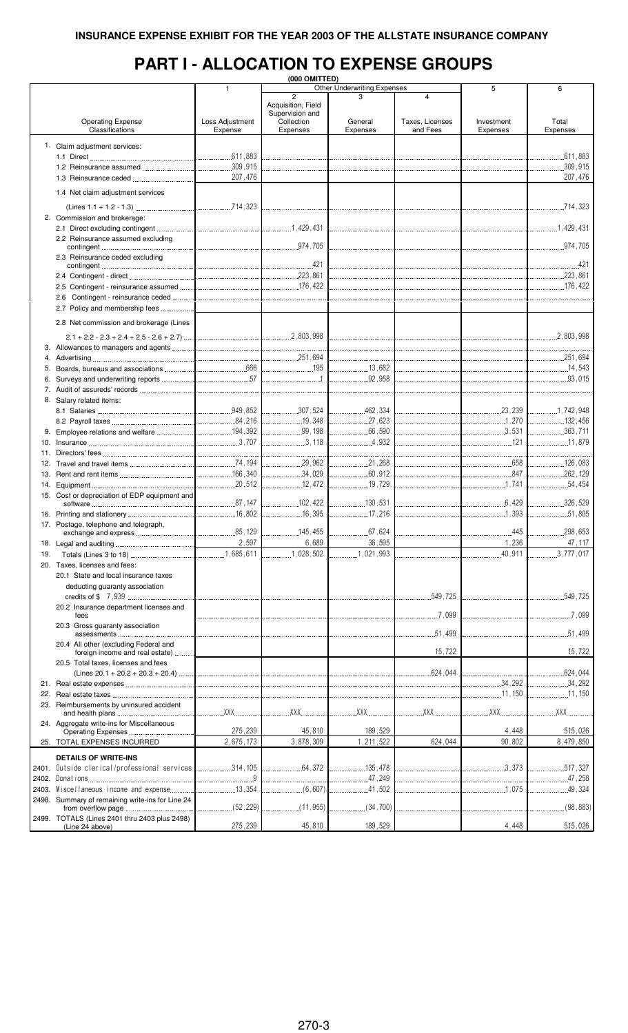# **PART I - ALLOCATION TO EXPENSE GROUPS**

|     |                                                     |                 | (000 OMITTED)      |                                    |                   |            |               |
|-----|-----------------------------------------------------|-----------------|--------------------|------------------------------------|-------------------|------------|---------------|
|     |                                                     | 1               |                    | <b>Other Underwriting Expenses</b> |                   | 5          | 6             |
|     |                                                     |                 | $\overline{c}$     | 3                                  | 4                 |            |               |
|     |                                                     |                 | Acquisition, Field |                                    |                   |            |               |
|     |                                                     |                 | Supervision and    |                                    |                   |            |               |
|     | <b>Operating Expense</b>                            | Loss Adjustment | Collection         | General                            | Taxes, Licenses   | Investment | Total         |
|     | Classifications                                     | Expense         | Expenses           | Expenses                           | and Fees          | Expenses   | Expenses      |
|     |                                                     |                 |                    |                                    |                   |            |               |
|     | 1. Claim adjustment services:                       |                 |                    |                                    |                   |            |               |
|     |                                                     |                 |                    |                                    |                   |            |               |
|     |                                                     |                 |                    |                                    |                   |            |               |
|     |                                                     |                 |                    |                                    |                   |            | .309,915      |
|     |                                                     | 207,476         |                    |                                    |                   |            | 207,476       |
|     |                                                     |                 |                    |                                    |                   |            |               |
|     | 1.4 Net claim adjustment services                   |                 |                    |                                    |                   |            |               |
|     |                                                     |                 |                    |                                    |                   |            |               |
|     |                                                     |                 |                    |                                    |                   |            |               |
|     | 2. Commission and brokerage:                        |                 |                    |                                    |                   |            |               |
|     |                                                     |                 |                    |                                    |                   |            |               |
|     | 2.2 Reinsurance assumed excluding                   |                 |                    |                                    |                   |            |               |
|     |                                                     |                 |                    |                                    |                   |            |               |
|     | 2.3 Reinsurance ceded excluding                     |                 |                    |                                    |                   |            |               |
|     |                                                     |                 |                    |                                    |                   |            |               |
|     |                                                     |                 |                    |                                    |                   |            |               |
|     |                                                     |                 |                    |                                    |                   |            |               |
|     |                                                     |                 |                    |                                    |                   |            |               |
|     |                                                     |                 |                    |                                    |                   |            |               |
|     |                                                     |                 |                    |                                    |                   |            |               |
|     | 2.7 Policy and membership fees                      |                 |                    |                                    |                   |            |               |
|     |                                                     |                 |                    |                                    |                   |            |               |
|     | 2.8 Net commission and brokerage (Lines             |                 |                    |                                    |                   |            |               |
|     |                                                     |                 |                    |                                    |                   |            |               |
|     |                                                     |                 |                    |                                    |                   |            |               |
|     |                                                     |                 |                    |                                    |                   |            |               |
|     |                                                     |                 |                    |                                    |                   |            |               |
|     |                                                     |                 |                    |                                    |                   |            |               |
|     |                                                     |                 |                    |                                    |                   |            |               |
|     |                                                     |                 |                    |                                    |                   |            |               |
|     |                                                     |                 |                    |                                    |                   |            |               |
|     | 8. Salary related items:                            |                 |                    |                                    |                   |            |               |
|     |                                                     |                 |                    |                                    |                   |            |               |
|     |                                                     |                 |                    |                                    |                   |            |               |
|     |                                                     |                 |                    |                                    |                   |            |               |
|     |                                                     |                 |                    |                                    |                   |            |               |
|     |                                                     |                 |                    | 4,932                              |                   |            |               |
|     |                                                     |                 |                    |                                    |                   |            |               |
|     |                                                     |                 |                    |                                    |                   |            |               |
|     |                                                     |                 |                    | 21,268                             |                   |            | 126,083       |
|     |                                                     |                 |                    |                                    |                   |            |               |
|     |                                                     |                 |                    |                                    |                   |            |               |
|     | 15. Cost or depreciation of EDP equipment and       |                 |                    |                                    |                   |            |               |
|     |                                                     |                 |                    |                                    | $\frac{1}{6,429}$ |            | 326,529       |
|     |                                                     |                 |                    |                                    |                   |            |               |
|     |                                                     |                 |                    |                                    |                   |            |               |
|     | 17. Postage, telephone and telegraph,               |                 |                    |                                    |                   |            |               |
|     |                                                     |                 |                    |                                    |                   | 445        | .298,653<br>. |
|     |                                                     | 2,597           | 6,689              | 36,595                             |                   | 1,236      | 47, 117       |
|     |                                                     |                 |                    |                                    |                   |            |               |
| 19. |                                                     |                 | .1,028,502         | 1,021,993                          |                   | 40,911     | 3,777,017     |
|     | 20. Taxes, licenses and fees:                       |                 |                    |                                    |                   |            |               |
|     | 20.1 State and local insurance taxes                |                 |                    |                                    |                   |            |               |
|     | deducting guaranty association                      |                 |                    |                                    |                   |            |               |
|     |                                                     |                 |                    |                                    |                   |            |               |
|     |                                                     |                 |                    |                                    | 549,725           |            | 549,725       |
|     | 20.2 Insurance department licenses and              |                 |                    |                                    |                   |            |               |
|     | fees                                                |                 |                    |                                    | .7.099            |            | 7.099         |
|     | 20.3 Gross guaranty association                     |                 |                    |                                    |                   |            |               |
|     |                                                     |                 |                    |                                    | .51.499           |            | .51,499       |
|     | 20.4 All other (excluding Federal and               |                 |                    |                                    |                   |            |               |
|     | foreign income and real estate)                     |                 |                    |                                    | 15,722            |            | 15,722        |
|     |                                                     |                 |                    |                                    |                   |            |               |
|     | 20.5 Total taxes, licenses and fees                 |                 |                    |                                    |                   |            |               |
|     |                                                     |                 |                    |                                    | 624,044           |            | .624,044      |
|     |                                                     |                 |                    |                                    |                   | 34,292     | .34,292       |
|     |                                                     |                 |                    |                                    |                   | 11,150     | 11,150        |
|     |                                                     |                 |                    |                                    |                   |            |               |
|     | 23. Reimbursements by uninsured accident            | XX              | XX                 | XX                                 | XX                | XXX.       | XXX.          |
|     |                                                     |                 |                    |                                    |                   |            |               |
|     | 24. Aggregate write-ins for Miscellaneous           |                 |                    |                                    |                   |            |               |
|     |                                                     | 275,239         | 45,810             | 189,529                            |                   | 4,448      | 515,026       |
|     | 25. TOTAL EXPENSES INCURRED                         | 2,675,173       | 3,878,309          | 1,211,522                          | 624,044           | 90,802     | 8,479,850     |
|     |                                                     |                 |                    |                                    |                   |            |               |
|     | <b>DETAILS OF WRITE-INS</b>                         |                 |                    |                                    |                   |            |               |
|     | 2401. Outside clerical/professional services314,105 |                 | .64.372            | .135,478                           |                   | .3.373     | .517,327      |
|     |                                                     | 9               |                    | .47,249                            |                   |            | .47,258       |
|     |                                                     |                 |                    |                                    |                   |            |               |
|     | 2403. Miscellaneous income and expense              |                 | (6,607)            | .41,502                            |                   |            | 49,324        |
|     | 2498. Summary of remaining write-ins for Line 24    |                 |                    |                                    |                   |            |               |
|     |                                                     | (52, 229)       | (11, 955)          | (34,700)                           |                   |            | (98, 883)     |
|     | 2499. TOTALS (Lines 2401 thru 2403 plus 2498)       |                 |                    |                                    |                   |            |               |
|     | (Line 24 above)                                     | 275,239         | 45,810             | 189,529                            |                   | 4,448      | 515,026       |
|     |                                                     |                 |                    |                                    |                   |            |               |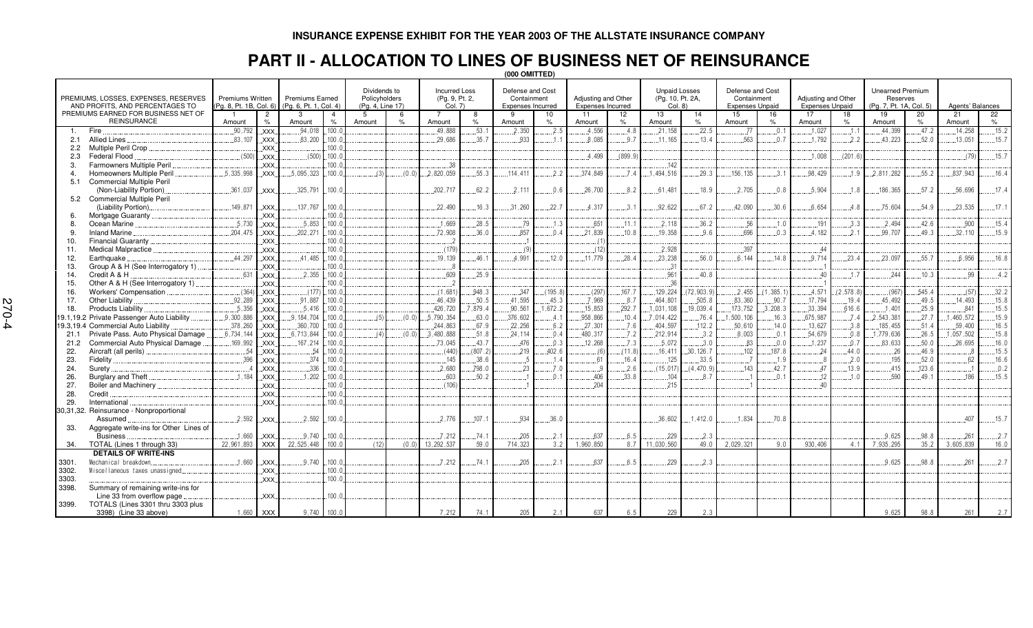### **PART II - ALLOCATION TO LINES OF BUSINESS NET OF REINSURANCE**

|                   |                                                                         |                                             |                                 |                                                  | (000 OMITTED)   |                                                   |       |                                                   |                 |                                                      |                |                                          |               |                                                    |                    |                                                           |                                   |                                               |                |                                                                |               |                    |               |
|-------------------|-------------------------------------------------------------------------|---------------------------------------------|---------------------------------|--------------------------------------------------|-----------------|---------------------------------------------------|-------|---------------------------------------------------|-----------------|------------------------------------------------------|----------------|------------------------------------------|---------------|----------------------------------------------------|--------------------|-----------------------------------------------------------|-----------------------------------|-----------------------------------------------|----------------|----------------------------------------------------------------|---------------|--------------------|---------------|
|                   | PREMIUMS, LOSSES, EXPENSES, RESERVES<br>AND PROFITS, AND PERCENTAGES TO | Premiums Written<br>(Pg. 8, Pt. 1B, Col. 6) |                                 | <b>Premiums Earned</b><br>(Pg. 6, Pt. 1, Col. 4) |                 | Dividends to<br>Policyholders<br>(Pg. 4, Line 17) |       | <b>Incurred Loss</b><br>(Pg. 9, Pt. 2,<br>Col. 7) |                 | Defense and Cost<br>Containment<br>Expenses Incurred |                | Adjusting and Other<br>Expenses Incurred |               | <b>Unpaid Losses</b><br>(Pg. 10, Pt. 2A,<br>Col. 8 |                    | Defense and Cost<br>Containment<br><b>Expenses Unpaid</b> |                                   | Adjusting and Other<br><b>Expenses Unpaid</b> |                | <b>Unearned Premium</b><br>Reserves<br>(Pg. 7, Pt. 1A, Col. 5) |               | Agents' Balances   |               |
|                   | PREMIUMS EARNED FOR BUSINESS NET OF<br><b>REINSURANCE</b>               | - 1                                         | $\overline{2}$<br>$\frac{1}{2}$ | 3                                                |                 | -5                                                | 6     | $\overline{7}$                                    | 8               | <b>q</b>                                             | 10             | 11                                       | 12            | 13                                                 | 14                 | 15                                                        | 16                                | 17                                            | 18             | 19                                                             | 20            | 21                 | 22            |
|                   | Fire                                                                    | Amount<br>.90.792                           | <b>XXX</b>                      | Amount<br>94.018                                 | $\%$<br>.100.0  | Amount                                            |       | Amount<br>.49.888                                 | $\%$<br>.53.    | Amount<br>.2.350                                     | .2.5           | Amount<br>.4,556                         | 4.8           | Amount<br>.21.158                                  | .22.5              | Amount<br>.77                                             | $\frac{1}{2}$<br>$\overline{0}$ . | Amount<br>.1.027                              | $\%$<br>$-1$ . | Amount<br>44.399                                               | $\%$<br>47.2  | Amount<br>.14.258  | $\%$<br>.15.2 |
| -1.<br>2.1        | Allied Lines                                                            | .83,107                                     | XXX.                            | .83,200                                          | .100.0          |                                                   |       | .29,686                                           | .35.7           | .933                                                 |                | .8,085                                   | .9.7          | .11, 165                                           | .13.4              | .563                                                      | .0.7                              | .1,792                                        | .2.2           | .43,223                                                        | .52.0         | .13,051            | .15.7         |
| 2.2               | Multiple Peril Crop.                                                    |                                             | XXX.                            |                                                  | .100.c          |                                                   |       |                                                   |                 |                                                      |                |                                          |               |                                                    |                    |                                                           |                                   |                                               |                |                                                                |               |                    |               |
| 2.3               | Federal Flood                                                           | (500)                                       | XXX.                            | (500)                                            | .100.1          |                                                   |       |                                                   |                 |                                                      |                | .4.499                                   | (899.9)       |                                                    |                    |                                                           |                                   | 1,008                                         | (201.6)        |                                                                |               | (79)               | .15.7         |
| 3.                | Farmowners Multiple Peril                                               |                                             | <b>XXX</b>                      |                                                  | 100.0           |                                                   |       | .38                                               |                 |                                                      |                |                                          |               | .142                                               |                    |                                                           |                                   |                                               |                |                                                                |               |                    |               |
|                   | Homeowners Multiple Peril                                               | .5.335.998                                  | <b>XXX</b>                      | 5.095.323                                        | 100.0           | (3)                                               | (0.0) | .2.820.059                                        | 55.3            | .114.411                                             | 2.2            | .374.849                                 | 7.4           | .1.494.516                                         | 29.3               | 156.135                                                   | 3.1                               | .98,429                                       | 1.9            | .2.811.282                                                     | 55.2          | .837.943           | .16.4         |
| 5.1               | <b>Commercial Multiple Peril</b>                                        |                                             |                                 |                                                  |                 |                                                   |       |                                                   |                 |                                                      |                |                                          |               |                                                    |                    |                                                           |                                   |                                               |                |                                                                |               |                    |               |
|                   | (Non-Liability Portion).                                                | .361,037                                    | XXX.                            | 325,791                                          | .100.c          |                                                   |       | .202,717                                          | .62.2           | .2,111                                               | .0.6           | .26,700                                  | 8.2           | 61,481                                             | 18.9               | 2.705                                                     | 0.8                               | 5.904                                         | .1.8           | .186,365                                                       | 57.2          | .56.696            | .17.4         |
|                   | 5.2 Commercial Multiple Peril                                           |                                             |                                 |                                                  |                 |                                                   |       |                                                   |                 |                                                      |                |                                          |               |                                                    |                    |                                                           |                                   |                                               |                |                                                                |               |                    |               |
|                   | (Liability Portion).                                                    | 149.871                                     | XXX.                            | .137,767                                         | .100.c          |                                                   |       | .22,490                                           | .16.3           | .31,260                                              | .22.7          | 4.317                                    | 3.1           | .92,622                                            | 67.2               | .42,090                                                   | .30.6                             | .6.654                                        | .4.8           | .75,604                                                        | .54.9         | .23.535            | .17.1         |
| 6.                | Mortgage Guaranty                                                       |                                             | XXX.                            |                                                  | .100.0          |                                                   |       |                                                   |                 |                                                      |                |                                          |               |                                                    |                    |                                                           |                                   |                                               |                |                                                                |               |                    |               |
| 8.                | Ocean Marine                                                            | 5.730                                       | XXX.                            | 5.853                                            | 100.0           |                                                   |       | 1.669                                             | .28.5           | .79                                                  | .1.3           | .651                                     | .11.1         | 2.118                                              | .36.2              | .56                                                       | .1.0                              | .191                                          | .3.3           | 2.494                                                          | 42.6          | .900               | .15.4         |
| 9.                | <b>Inland Marine</b>                                                    | .204,475                                    | XXX.                            | .202,271                                         | .100.c          |                                                   |       | .72,908                                           | .36.0           | .857                                                 | 0.4            | .21,839                                  | .10.8         | 19,358                                             | 9.6                | .696                                                      | 0.3                               | .4.182                                        | 2.1            | .99,707                                                        | 49.3          | 32,110             | .15.9         |
| 10.               | Financial Guaranty                                                      |                                             | .XXX.                           |                                                  | .100.0          |                                                   |       |                                                   |                 |                                                      |                |                                          |               |                                                    |                    |                                                           |                                   |                                               |                |                                                                |               |                    |               |
| 11.               | Medical Malpractice                                                     |                                             | XXX.                            |                                                  | 100.0           |                                                   |       | (179)                                             |                 | (9)                                                  |                | (12)                                     |               | 2.928                                              |                    | .397                                                      |                                   | 44                                            |                |                                                                |               |                    |               |
| 12.               | Earthquake                                                              | 44.297                                      | XXX.                            | 41.485                                           | 100.1           |                                                   |       | 19.139                                            | 46.1            | 4.991                                                | 12.0           | .11.779                                  | 28.4          | 23.238                                             | 56.0               | 6 144                                                     | 148                               | 9.714                                         | 23.4           | 23.097                                                         | 55.7          | 6.956              | 16.8          |
| 13.               | Group A & H (See Interrogatory 1)                                       |                                             | XXX.                            |                                                  | .100.0          |                                                   |       |                                                   |                 |                                                      |                |                                          |               | .31                                                |                    |                                                           |                                   |                                               |                |                                                                |               |                    |               |
| 14.               | Credit A & H                                                            | .631                                        | XXX.                            | .2.355                                           | .100.1          |                                                   |       | .609                                              | .25.9           |                                                      |                |                                          |               | .961                                               | .40.8              |                                                           |                                   | $\Delta$                                      | 1.7            | .244                                                           | .10.3         | .99                | .4.2          |
| 15.               | Other A & H (See Interrogatory 1).                                      |                                             | XXX.                            |                                                  | 100.0           |                                                   |       |                                                   |                 |                                                      |                |                                          |               | .36                                                |                    |                                                           |                                   |                                               |                |                                                                |               |                    |               |
| 16.               | Workers' Compensation                                                   | (364)                                       | <b>XXX</b>                      | (177)                                            | .100.c          |                                                   |       | (1.681)                                           | .948.3          | .347                                                 | (195.8)        | (297)                                    | .167.7        | .129,224                                           | (72, 903.9)        | .2.455                                                    | (1, 385.1)                        | .4,571                                        | (2, 578.8)     | (967)                                                          | .545.4        | (57)               | .32.2         |
| 17.               | Other Liability                                                         | .92.289                                     | <b>XXX</b>                      | 91.887                                           | .100.c          |                                                   |       | 46.439                                            | .50.5           | .41,595                                              | .45.3          | .7.969                                   | .8.7          | 464.801                                            | .505.8             | .83,360                                                   | .90.7                             | .17.794<br>.33,394                            | .19.4          | 45,492                                                         | .49.5         | 14.493             | .15.8         |
| 18.               | <b>Products Liability</b><br>19.1,19.2 Private Passenger Auto Liability | .5.356<br>.9.300.886                        | XXX.                            | .5.416<br>.9.184.704                             | .100.c<br>100.0 | (5)                                               | (0.0) | .426,720<br>.5.790.354                            | .879.4<br>.63.0 | .90.561<br>.376.602                                  | ,672.2         | .15,853<br>.958,866                      | .292.7        | 1,031,108<br>.7.014.422                            | .19.039.4<br>.76.4 | .173,752<br>1,500,106                                     | .3.208.3                          | .675.987                                      | .616.6         | .1.401                                                         | .25.9<br>27.7 | .841<br>.1.460.572 | 15.5<br>.15.9 |
|                   | <b>Commercial Auto Liability</b>                                        | .378,260                                    | XXX.                            | .360,700                                         | 100.0           |                                                   |       | .244,863                                          | .67.9           | .22,256                                              | .4.1<br>.6.2   | .27,301                                  | .10.4<br>.7.6 | .404,597                                           | .112.2             | 50,610                                                    | .16.3<br>.14.0                    | .13,627                                       | .7.4<br>.3.8   | .2,543,381<br>.185,455                                         | .51.4         | .59,400            | .16.5         |
| 19.3,19.4<br>21.1 | Private Pass. Auto Physical Damage                                      | .6,734,144                                  | XXX.<br>XXX.                    | .6,713,844                                       | 100.0           | (4)                                               | (0.0) | .3,480,888                                        | .51.8           | .24,114                                              | .0.4           | .480,317                                 | .7.2          | .212,914                                           | 3.2                | .8.003                                                    | .0.1                              | .54,679                                       | 0.0.8          | 1,779,636                                                      | .26.5         | .1,057,502         | .15.8         |
| 21.2              | Commercial Auto Physical Damage                                         | .169.992                                    | XXX.                            | .167,214                                         | 100.0           |                                                   |       | 73.045                                            | .43.7           | 476                                                  | .0.3           | .12,268                                  | .7.3          | .5.072                                             | 3.0                | .83                                                       | $0.0$ .                           | 1,237                                         | 0.7            | .83,633                                                        | .50.0         | 26,695             | 16.0          |
| 22.               | Aircraft (all perils).                                                  | . 54                                        | XXX.                            | 54                                               | 100.0           |                                                   |       | (440)                                             | (807.2)         | 219                                                  | .402.6         | $\ldots(6)$                              | (11.8)        | 16,411                                             | .30.126.7          | .102                                                      | .187.8                            | .24                                           | 44.0           | .26                                                            | 46.9          |                    | 15.5          |
| 23.               | Fidelity                                                                | 396                                         | XXX.                            | 374                                              | .100.1          |                                                   |       | 145                                               | .38.6           |                                                      | 1.4            | 61                                       | .16.4         | 125                                                | 33.5               | - 7                                                       | 1.9                               |                                               | 2.0            | 195                                                            | 52.0          | 62                 | .16.6         |
| 24.               | Surety                                                                  |                                             | XXX.                            | .336                                             | .100.0          |                                                   |       | 2,680                                             | 798.0           | .23                                                  | .7.0           |                                          | 2.6           | (15, 017)                                          | (4.470.9)          | 143                                                       | .42.7                             | 47                                            | 13.9           | 415                                                            | .123.6        |                    | 0.2           |
| 26.               | Burglary and Theft.                                                     | 1.184                                       | XXX.                            | .1.202                                           | 100.1           |                                                   |       | .603                                              | .50.2           |                                                      | 0 <sub>1</sub> | .406                                     | .33.8         | .104                                               | 8.7                |                                                           | 0.1                               | 12                                            | 1.0            | 590                                                            | .49.1         | 186                | .15.5         |
| 27.               | Boiler and Machinery.                                                   |                                             | XXX.                            |                                                  | .100.0          |                                                   |       | (106)                                             |                 |                                                      |                | .204                                     |               | .215                                               |                    |                                                           |                                   | 40                                            |                |                                                                |               |                    |               |
| 28.               | Credit                                                                  |                                             | XXX.                            |                                                  | .100.0          |                                                   |       |                                                   |                 |                                                      |                |                                          |               |                                                    |                    |                                                           |                                   |                                               |                |                                                                |               |                    |               |
| 29.               | International                                                           |                                             | XXX.                            |                                                  | 100.0           |                                                   |       |                                                   |                 |                                                      |                |                                          |               |                                                    |                    |                                                           |                                   |                                               |                |                                                                |               |                    |               |
|                   | 30,31,32. Reinsurance - Nonproportional                                 |                                             |                                 |                                                  |                 |                                                   |       |                                                   |                 |                                                      |                |                                          |               |                                                    |                    |                                                           |                                   |                                               |                |                                                                |               |                    |               |
|                   | Assumed                                                                 | .2.592                                      | XXX.                            | .2.592                                           | .100.c          |                                                   |       | 2.776                                             | .107.           | 934                                                  | .36.0          |                                          |               | .36,602                                            | .1.412.            | .1.834                                                    | .70.8                             |                                               |                |                                                                |               | 407                | .15.7         |
|                   | Aggregate write-ins for Other Lines of                                  |                                             |                                 |                                                  |                 |                                                   |       |                                                   |                 |                                                      |                |                                          |               |                                                    |                    |                                                           |                                   |                                               |                |                                                                |               |                    |               |
|                   | <b>Business</b>                                                         | .1.660                                      | <b>XXX</b>                      | .9.740                                           | .100.0          |                                                   |       | .7.212                                            | .74.1           | .205                                                 | .2.1           | .637                                     | .6.5          | .229                                               | .2.3               |                                                           |                                   |                                               |                | .9,625                                                         | .98.8         | .261               | .2.7          |
| 34.               | TOTAL (Lines 1 through 33)                                              | 22,961,893                                  | <b>XXX</b>                      | 22.525.448                                       | 100.0           | (12)                                              | (0.0) | 13,292,537                                        | 59.0            | 714,323                                              | 3.2            | 1.960.850                                | 8.7           | 11.030.560                                         | 49.0               | 2,029,321                                                 | 9.0                               | 930.406                                       | 4.1            | 7.935.295                                                      | 35.2          | 3.605.839          | 16.0          |
|                   | <b>DETAILS OF WRITE-INS</b>                                             |                                             |                                 |                                                  |                 |                                                   |       |                                                   |                 |                                                      |                |                                          |               |                                                    |                    |                                                           |                                   |                                               |                |                                                                |               |                    |               |
| 3301.             | Mechanical breakdown.                                                   | 1.660                                       | XXX.                            | 9.740                                            | .100.0          |                                                   |       | .7.212                                            | .74.1           | .205                                                 | .2.1           | .637                                     | 6.5           | .229                                               | 2.3                |                                                           |                                   |                                               |                | 9.625                                                          | .98.8         | .261               | .2.7          |
| 3302.             | Miscellaneous taxes unassigned.                                         |                                             | .XXX.                           |                                                  | 100.0           |                                                   |       |                                                   |                 |                                                      |                |                                          |               |                                                    |                    |                                                           |                                   |                                               |                |                                                                |               |                    |               |
| 3303.             |                                                                         |                                             | XXX.                            |                                                  | 100.0           |                                                   |       |                                                   |                 |                                                      |                |                                          |               |                                                    |                    |                                                           |                                   |                                               |                |                                                                |               |                    |               |
| 3398.             | Summary of remaining write-ins for                                      |                                             |                                 |                                                  |                 |                                                   |       |                                                   |                 |                                                      |                |                                          |               |                                                    |                    |                                                           |                                   |                                               |                |                                                                |               |                    |               |
|                   | Line 33 from overflow page                                              |                                             | <b>XXX</b>                      |                                                  | .100.c          |                                                   |       |                                                   |                 |                                                      |                |                                          |               |                                                    |                    |                                                           |                                   |                                               |                |                                                                |               |                    |               |
| 3399.             | TOTALS (Lines 3301 thru 3303 plus                                       |                                             |                                 |                                                  |                 |                                                   |       |                                                   |                 |                                                      |                |                                          |               |                                                    |                    |                                                           |                                   |                                               |                |                                                                |               |                    |               |
|                   | 3398) (Line 33 above)                                                   |                                             | 1,660 XXX                       | 9.740                                            | 100.0           |                                                   |       | 7.212                                             | 74.1            | 205                                                  | 2.1            | 637                                      | 6.5           | 229                                                | 2.3                |                                                           |                                   |                                               |                | 9,625                                                          | 98.8          | 261                | 2.7           |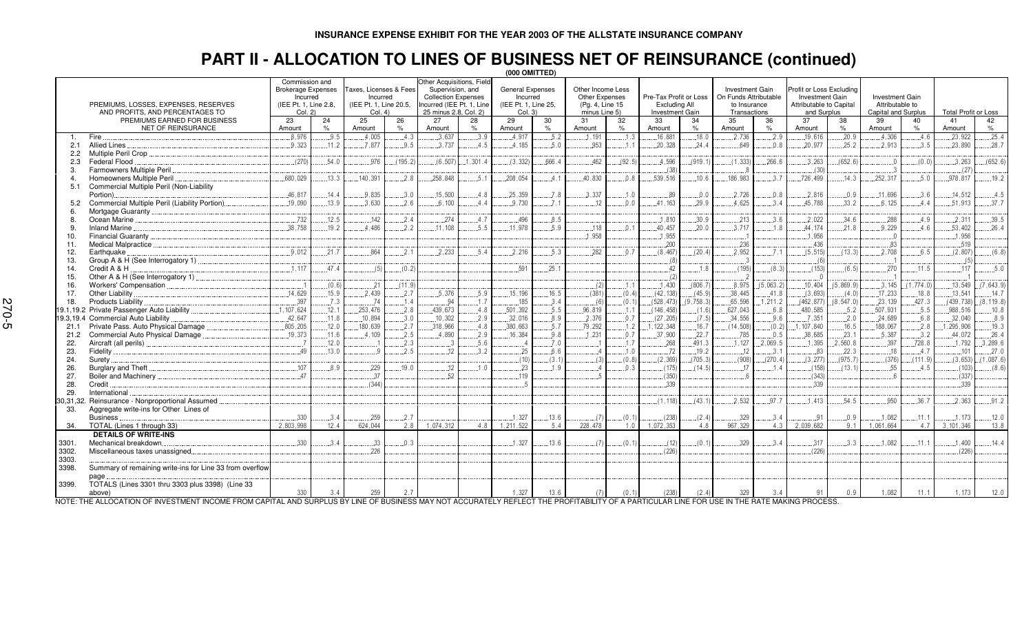# **PART II - ALLOCATION TO LINES OF BUSINESS NET OF REINSURANCE (continued) (000 OMITTED)**

|                      |                                                                         |              |                                                                                             |              |                                                                         |              |                                                                                                                                  |              | ו וואו טטטן (ט                                                  |                                                                                |                     |                                                            |            |                                                                                 |            |                                                                                       |               |                                                                  |                     |                             |                |
|----------------------|-------------------------------------------------------------------------|--------------|---------------------------------------------------------------------------------------------|--------------|-------------------------------------------------------------------------|--------------|----------------------------------------------------------------------------------------------------------------------------------|--------------|-----------------------------------------------------------------|--------------------------------------------------------------------------------|---------------------|------------------------------------------------------------|------------|---------------------------------------------------------------------------------|------------|---------------------------------------------------------------------------------------|---------------|------------------------------------------------------------------|---------------------|-----------------------------|----------------|
|                      | PREMIUMS, LOSSES, EXPENSES, RESERVES<br>AND PROFITS, AND PERCENTAGES TO |              | Commission and<br><b>Brokerage Expenses</b><br>Incurred<br>(IEE Pt. 1. Line 2.8.<br>Col. 2) |              | Taxes, Licenses & Fees<br>Incurred<br>(IEE Pt. 1. Line 20.5.)<br>Col. 4 |              | Other Acquisitions, Field<br>Supervision, and<br><b>Collection Expenses</b><br>ncurred (IEE Pt. 1. Line<br>25 minus 2.8, Col. 2) |              | General Expenses<br>Incurred<br>(IEE Pt. 1, Line 25,<br>Col. 3) | Other Income Less<br><b>Other Expenses</b><br>(Pg. 4, Line 15<br>minus Line 5) |                     | Pre-Tax Profit or Loss<br>Excluding All<br>Investment Gain |            | <b>Investment Gain</b><br>On Funds Attributable<br>to Insurance<br>Transactions |            | Profit or Loss Excludina<br>Investment Gain<br>Attributable to Capital<br>and Surplus |               | <b>Investment Gain</b><br>Attributable to<br>Capital and Surplus |                     | <b>Total Profit or Loss</b> |                |
|                      | PREMIUMS EARNED FOR BUSINESS<br>NET OF REINSURANCE                      | 23<br>Amount | 24<br>$\frac{1}{2}$                                                                         | 25<br>Amount | 26<br>$\%$                                                              | 27<br>Amount | 28<br>$\%$                                                                                                                       | 29<br>Amount | 30<br>$\%$                                                      | 31<br>Amount                                                                   | 32<br>$\frac{1}{2}$ | 33<br>Amount                                               | 34<br>$\%$ | 35<br>Amount                                                                    | 36<br>$\%$ | 37<br>Amount                                                                          | 38<br>$\%$    | 39<br>Amount                                                     | 40<br>$\frac{9}{6}$ | 41<br>Amount                | 42<br>$\%$     |
|                      | Fire                                                                    | 8.976        | .9.5                                                                                        | .4.005       | 4.3                                                                     | .3.637       | 3.9                                                                                                                              | .4.917       | .5.2                                                            | .1.191                                                                         | 1.3                 | .16.881                                                    | .18.0      | 2.736                                                                           | 2.9        | .19.616                                                                               | .20.9         | .4.306                                                           | .4.6                | .23.922                     | .25.4          |
| 2.1                  | Allied Lines                                                            | .9,323       | .11.2                                                                                       | .7.877       | 9.5                                                                     | .3.737       | 4.5                                                                                                                              | .4.185       | .5.0                                                            | .953                                                                           | .1.1                | .20.328                                                    | 24.4       | 649                                                                             | 0.8        | .20,977                                                                               | .25.2         | .2.913                                                           | 3.5                 | .23.890                     | .28.7          |
|                      | Multiple Peril Crop                                                     |              |                                                                                             |              |                                                                         |              |                                                                                                                                  |              |                                                                 |                                                                                |                     |                                                            |            |                                                                                 |            |                                                                                       |               |                                                                  |                     |                             |                |
| $2.2^{\circ}$<br>2.3 | Federal Flood                                                           | (270)        | 54.0                                                                                        | 976          | (195.2)                                                                 | (6.507)      | .1.301.4                                                                                                                         | (3.332)      | .666.4                                                          | .462                                                                           | (92.5)              | .4.596                                                     | (919.1     | (1.333)                                                                         | .266.6     | 3.263                                                                                 | (652.6)       |                                                                  | (0.0)               | .3.263                      | (652.6)        |
|                      | Farmowners Multiple Peril                                               |              |                                                                                             |              |                                                                         |              |                                                                                                                                  |              |                                                                 |                                                                                |                     |                                                            |            |                                                                                 |            |                                                                                       |               |                                                                  |                     |                             |                |
| 3.                   | Homeowners Multiple Peril                                               | .680,029     | .13.3                                                                                       | 140,391      | 2.8                                                                     | .258,848     | .5.                                                                                                                              | .208.054     | .4.1                                                            | .40.830                                                                        | 0.8                 | (38)<br>.539.516                                           | .10.6      | .186.983                                                                        | .3.7       | (30)<br>.726,499                                                                      | .14.3         | .252,317                                                         | .5.0                | (27)<br>.978.817            | .19.2          |
| 5.1                  | Commercial Multiple Peril (Non-Liability                                |              |                                                                                             |              |                                                                         |              |                                                                                                                                  |              |                                                                 |                                                                                |                     |                                                            |            |                                                                                 |            |                                                                                       |               |                                                                  |                     |                             |                |
|                      | Portion)                                                                | .46.817      | 14.4                                                                                        | .9.835       | .3.0                                                                    | .15.500      | 4.8                                                                                                                              | .25,359      | .7.8                                                            | .3.337                                                                         | .1.0                | 89                                                         | 0.0        | 2.726                                                                           | 0.8        | .2.816                                                                                | .0.9          | .11,696                                                          | .3.6                | .14.512                     | .4.5           |
|                      | Commercial Multiple Peril (Liability Portion)                           | .19,090      | 13.9                                                                                        | 3.630        | 2.6                                                                     | 6.100        | 4.4                                                                                                                              | 9.730        | 7.1                                                             | 12                                                                             | 0.0                 | 41.163                                                     | 29.9       | 4.625                                                                           | 3.4        | 45.788                                                                                | 33.2          | .6,125                                                           | 4.4                 | 51.913                      | .37.7          |
| 6                    |                                                                         |              |                                                                                             |              |                                                                         |              |                                                                                                                                  |              |                                                                 |                                                                                |                     |                                                            |            |                                                                                 |            |                                                                                       |               |                                                                  |                     |                             |                |
| 8                    |                                                                         | .732         | .12.5                                                                                       | 142          | 2.4                                                                     | 274          | 4.7                                                                                                                              | 496          | 8.5                                                             |                                                                                |                     | 1.810                                                      | .30.9      | .213                                                                            | 3.6        | .2.022                                                                                | .34.6         | .288                                                             | 4.9                 | .2.311                      | .39.5          |
| 9                    | Inland Marine                                                           | .38.758      | .19.2                                                                                       | 4.486        | .2.2                                                                    | .11.108      | .5.5                                                                                                                             | .11.978      | .5.9                                                            | 118                                                                            | 0.1                 | .40.457                                                    | .20.0      | .3.717                                                                          | .1.8       | .44.174                                                                               | .21.8         | .9.229                                                           | .4.6                | .53.402                     | .26.4          |
| 10.                  | Financial Guaranty                                                      |              |                                                                                             |              |                                                                         |              |                                                                                                                                  |              |                                                                 | 1.958                                                                          |                     | 1,955                                                      |            |                                                                                 |            | .1.956                                                                                |               |                                                                  |                     | 1.956                       |                |
| 11.                  | Medical Malpractice                                                     |              |                                                                                             |              |                                                                         |              |                                                                                                                                  |              |                                                                 |                                                                                |                     | .200                                                       |            | 236                                                                             |            | .436                                                                                  |               | .83                                                              |                     | .519                        |                |
| 12.                  | Earthquake                                                              | .9.012       | 21.7                                                                                        | 864          | .2.1                                                                    | 2.233        | 5.4                                                                                                                              | .2.216       | 5.3                                                             | .282                                                                           | 0.7                 | (8.467)                                                    | (20.4)     | .2.952                                                                          | 7.1        | (5.515)                                                                               | (13.3)        | .2.708                                                           | 6.5                 | (2.807)                     | (6.8)          |
| 13.                  | Group A & H (See Interrogatory 1)                                       |              |                                                                                             |              |                                                                         |              |                                                                                                                                  |              |                                                                 |                                                                                |                     | (8)                                                        |            |                                                                                 |            | -6                                                                                    |               |                                                                  |                     |                             |                |
| 14.                  | Credit A & H                                                            | .1.117       | 47.4                                                                                        | (5)          | (0.2)                                                                   |              |                                                                                                                                  | .591         | .25.1                                                           |                                                                                |                     | .42                                                        | 1.8        | (195)                                                                           | (8.3)      | (153)                                                                                 | (6.5)         | .270                                                             | .11.5               | 117                         | .5.0           |
| 15.                  | Other A & H (See Interrogatory 1).                                      |              |                                                                                             |              |                                                                         |              |                                                                                                                                  |              |                                                                 |                                                                                |                     | (2)                                                        |            |                                                                                 |            |                                                                                       |               |                                                                  |                     |                             |                |
|                      |                                                                         |              | (0.6)                                                                                       | .21          | (11.9)                                                                  |              |                                                                                                                                  |              |                                                                 |                                                                                | .1.1                | .1.430                                                     | (806.7)    | .8.975                                                                          | (5,063.2)  | .10.404                                                                               | (5.869.9)     | .3.145                                                           | (1.774.0)           | .13.549                     | (7.643.9)      |
| 16.<br>17.           | Other Liability                                                         | .14.629      | .15.9                                                                                       | 2.439        | .2.7                                                                    | 5.376        | .5.9                                                                                                                             | .15.196      | .16.5                                                           | (2)<br>(381)                                                                   | (0.4)               | (42, 138)                                                  | (45.9)     | .38,445                                                                         | .41.8      | (3,693)                                                                               | (4.0)         | .17.233                                                          | .18.8               | .13.541                     | .14.7          |
| 18.                  | Products Liability                                                      | .397         | .7.3                                                                                        | .74          | .1.4                                                                    | .94          | .1.7                                                                                                                             | 185          | .3.4                                                            |                                                                                | (0.1)               | (528, 473)                                                 | (9,758.3)  | .65.596                                                                         | 1,211.2    | (462, 877)                                                                            | (8, 547.0)    | .23,139                                                          | .427.3              | (439.738)                   | (8, 119.8)     |
|                      |                                                                         | 1.107.624    | .12.1                                                                                       | .253,476     | 2.8                                                                     | 439.673      | 4.8                                                                                                                              | .501,392     | 5.5                                                             | (6)<br>96.819                                                                  | 1.1                 | (146.458)                                                  | (1.6)      | .627.043                                                                        | 6.8        | 480,585                                                                               | .5.2          | .507.931                                                         | .5.5                | .988,516                    | .10.8          |
|                      | Commercial Auto Liability                                               | .42,647      | .11.8                                                                                       | .10,894      | .3.0                                                                    | .10, 302     |                                                                                                                                  | .32,016      | 8.9                                                             | .2,376                                                                         | 0.7                 | (27, 205)                                                  | (7.5)      | .34,556                                                                         | .9.6       | .7,351                                                                                |               | .24,689                                                          | .6.8                | .32,040                     | .8.9           |
| 19.3,19.4<br>21.1    | Private Pass. Auto Physical Damage                                      | .805, 205    | .12.0                                                                                       | 180,639      | 2.7                                                                     | 318,966      | .2.9<br>.4.8                                                                                                                     | .380,663     | 5.7                                                             | .79,292                                                                        | .1.2                | , 122, 348                                                 | 16.7       | (14, 508)                                                                       | (0.2)      | 1, 107, 840                                                                           | .2.0<br>.16.5 | .188,067                                                         | .2.8                | 1,295,906                   | .19.3          |
| 21.2                 | Commercial Auto Physical Damage                                         | 19,373       | .11.6                                                                                       | 4.109        | 2.5                                                                     | 4.890        | 2.9                                                                                                                              | 16,384       | 9.8                                                             | .1.231                                                                         | 0.7                 | 37,900                                                     | .22.7      | .785                                                                            | 0.5        | .38,685                                                                               | .23.1         | .5.387                                                           | .3.2                | 44,072                      | 26.4           |
| 22.                  |                                                                         |              | .12.0                                                                                       |              | 2.3                                                                     |              | .5.6                                                                                                                             |              | .7.0                                                            |                                                                                | .1.7                | .268                                                       | .491.3     | .1.127                                                                          | 2.069.5    | .1.395                                                                                | 2.560.8       | .397                                                             | 728.8               | .1.792                      | .3.289.6       |
| 23.                  | Fidelity.                                                               | .49          | .13.0                                                                                       |              | 2.5                                                                     | .12          | 3.2                                                                                                                              | .25          | .6.6                                                            |                                                                                | .1.0                | .72                                                        | .19.2      | .12                                                                             | .3.1       | .83                                                                                   | .22.3         | .18                                                              | 4.7                 | .101                        | 27.0           |
| 24.                  | Suretv.                                                                 |              |                                                                                             |              |                                                                         |              |                                                                                                                                  | (10)         | (3.1)                                                           |                                                                                | (0.8)               | (2, 369)                                                   | (705.3)    | (908)                                                                           | (270.4)    | (3.277)                                                                               | (975.7)       | (376)                                                            | (111.9)             | (3.653)                     | (1.087.6)      |
| 26.                  | Burglary and Theft.                                                     | .107         | 8.9                                                                                         | 229          | 19.0                                                                    | 12           | 1.0                                                                                                                              | 23           | 1.9                                                             |                                                                                | 0.3                 | (175)                                                      | (14.5)     | 17                                                                              | 1.4        | (158)                                                                                 | (13.1)        | .55                                                              | 4.5                 | (103)                       | $\ldots$ (8.6) |
| 27.                  |                                                                         | 47           |                                                                                             | .37          |                                                                         | 52           |                                                                                                                                  | .119         |                                                                 |                                                                                |                     | (350)                                                      |            |                                                                                 |            | (343)                                                                                 |               |                                                                  |                     | (337)                       |                |
| 28.                  | Credit                                                                  |              |                                                                                             | (344)        |                                                                         |              |                                                                                                                                  |              |                                                                 |                                                                                |                     | ,339                                                       |            |                                                                                 |            | 339                                                                                   |               |                                                                  |                     | .339                        |                |
| 29.                  | International                                                           |              |                                                                                             |              |                                                                         |              |                                                                                                                                  |              |                                                                 |                                                                                |                     |                                                            |            |                                                                                 |            |                                                                                       |               |                                                                  |                     |                             |                |
| 30,31,32.            | Reinsurance - Nonproportional Assumed                                   |              |                                                                                             |              |                                                                         |              |                                                                                                                                  |              |                                                                 |                                                                                |                     | (1.118)                                                    | (43.1)     | 2.532                                                                           | 97.7       | 1.413                                                                                 | .54.5         | .950                                                             | .36.7               | .2.363                      | .91.2          |
| 33.                  | Aggregate write-ins for Other Lines of                                  |              |                                                                                             |              |                                                                         |              |                                                                                                                                  |              |                                                                 |                                                                                |                     |                                                            |            |                                                                                 |            |                                                                                       |               |                                                                  |                     |                             |                |
|                      | Business                                                                | .330         | 3.4                                                                                         | .259         | 2.7                                                                     |              |                                                                                                                                  | .1.327       | .13.6                                                           |                                                                                | (0.1)               | (238)                                                      | (2.4)      | .329                                                                            | .3.4       | .91                                                                                   | 0.9           | .1.082                                                           | .11.1               | .1.173                      | .12.0          |
| 34.                  | TOTAL (Lines 1 through 33)                                              | 2.803.998    | 12.4                                                                                        | 624.044      | 2.8                                                                     | 1.074.312    | 4.8                                                                                                                              | 1.211.522    | 5.4                                                             | 228,478                                                                        | 1.0                 | 1.072.353                                                  | 48         | 967.329                                                                         | 4.3        | 2.039.682                                                                             | 9.1           | 1.061.664                                                        | 4.7                 | 3.101.346                   | 13.8           |
|                      | <b>DETAILS OF WRITE-INS</b>                                             |              |                                                                                             |              |                                                                         |              |                                                                                                                                  |              |                                                                 |                                                                                |                     |                                                            |            |                                                                                 |            |                                                                                       |               |                                                                  |                     |                             |                |
| 3301.                | Mechanical breakdown.                                                   | .330         | 3.4                                                                                         | .33          | 0.3                                                                     |              |                                                                                                                                  | .1.327       | .13.6                                                           | (7)                                                                            | (0.1)               | (12)                                                       | (0.1)      | .329                                                                            | 3.4        | .317                                                                                  | 3.3           | .1.082                                                           | .11.1               | .1.400                      | 14.4           |
| 3302.                | Miscellaneous taxes unassigned.                                         |              |                                                                                             | 226          |                                                                         |              |                                                                                                                                  |              |                                                                 |                                                                                |                     | (226)                                                      |            |                                                                                 |            | (226)                                                                                 |               |                                                                  |                     | (226)                       |                |
|                      |                                                                         |              |                                                                                             |              |                                                                         |              |                                                                                                                                  |              |                                                                 |                                                                                |                     |                                                            |            |                                                                                 |            |                                                                                       |               |                                                                  |                     |                             |                |
| 3303.<br>3398.       | Summary of remaining write-ins for Line 33 from overflow                |              |                                                                                             |              |                                                                         |              |                                                                                                                                  |              |                                                                 |                                                                                |                     |                                                            |            |                                                                                 |            |                                                                                       |               |                                                                  |                     |                             |                |
|                      |                                                                         |              |                                                                                             |              |                                                                         |              |                                                                                                                                  |              |                                                                 |                                                                                |                     |                                                            |            |                                                                                 |            |                                                                                       |               |                                                                  |                     |                             |                |
| 3399.                | page<br>TOTALS (Lines 3301 thru 3303 plus 3398) (Line 33                |              |                                                                                             |              |                                                                         |              |                                                                                                                                  |              |                                                                 |                                                                                |                     |                                                            |            |                                                                                 |            |                                                                                       |               |                                                                  |                     |                             |                |
|                      | above)                                                                  | 330          | 3.4                                                                                         | 259          | 2.7                                                                     |              |                                                                                                                                  | 1.327        | 13.6                                                            | (7)                                                                            | (0.1)               | (238)                                                      | (2.4)      | 329                                                                             | 3.4        | 91                                                                                    | 0.9           | 1.082                                                            | 11.1                | 1.173                       | 12.0           |
|                      |                                                                         |              |                                                                                             |              |                                                                         |              |                                                                                                                                  |              |                                                                 |                                                                                |                     |                                                            |            |                                                                                 |            |                                                                                       |               |                                                                  |                     |                             |                |

NOTE: THE ALLOCATION OF INVESTMENT INCOME FROM CAPITAL AND SURPLUS BY LINE OF BUSINESS MAY NOT ACCURATELY REFLECT THE PROFITABILITY OF A PARTICULAR LINE FOR USE IN THE RATE MAKING PROCESS.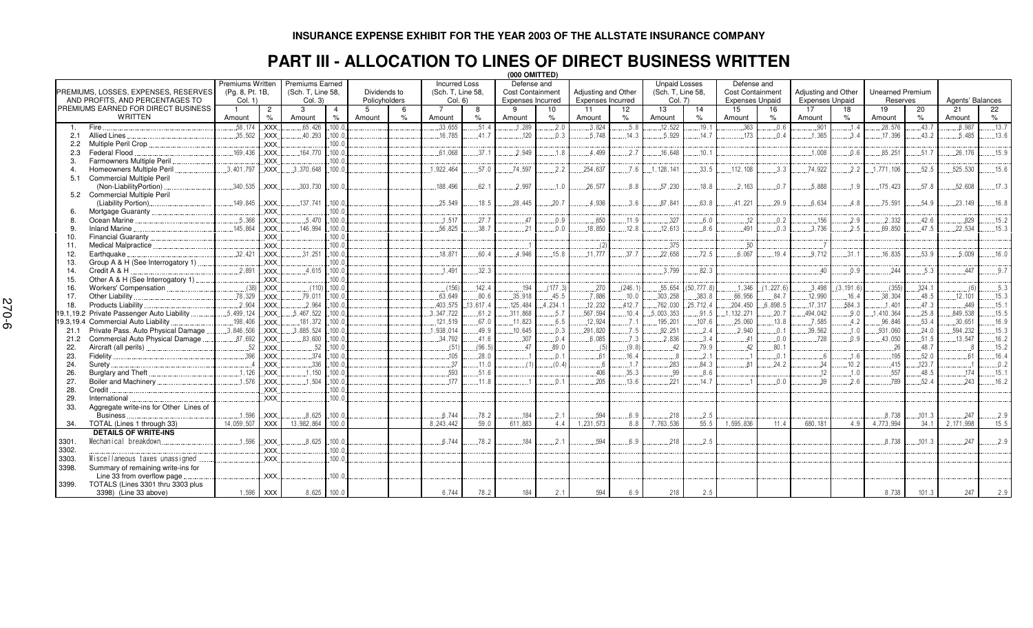### **INSURANCE EXPENSE EXHIBIT FOR THE YEAR 2003 OF THE ALLSTATE INSURANCE COMPANY**

### **PART III - ALLOCATION TO LINES OF DIRECT BUSINESS WRITTEN**

|                  |                                            |                         |                |                        |                |               |               |                      |          | (000 OMITTED)            |                |                          |         |                      |          |                         |            |                        |           |                         |        |                  |       |
|------------------|--------------------------------------------|-------------------------|----------------|------------------------|----------------|---------------|---------------|----------------------|----------|--------------------------|----------------|--------------------------|---------|----------------------|----------|-------------------------|------------|------------------------|-----------|-------------------------|--------|------------------|-------|
|                  |                                            | <b>Premiums Written</b> |                | <b>Premiums Earned</b> |                |               |               | <b>Incurred Loss</b> |          | Defense and              |                |                          |         | <b>Unpaid Losses</b> |          | Defense and             |            |                        |           |                         |        |                  |       |
|                  | PREMIUMS. LOSSES. EXPENSES. RESERVES       | (Pg. 8, Pt. 1B,         |                | (Sch. T, Line 58,      |                | Dividends to  |               | (Sch. T. Line 58.    |          | <b>Cost Containment</b>  |                | Adjusting and Other      |         | (Sch. T. Line 58.    |          | <b>Cost Containment</b> |            | Adjusting and Other    |           | <b>Unearned Premium</b> |        |                  |       |
|                  | AND PROFITS, AND PERCENTAGES TO            | Col. 1)                 |                | Col. 3)                |                | Policyholders |               | Col. 6)              |          | <b>Expenses Incurred</b> |                | <b>Expenses Incurred</b> |         | Col. 7)              |          | <b>Expenses Unpaid</b>  |            | <b>Expenses Unpaid</b> |           | Reserves                |        | Agents' Balances |       |
|                  | PREMIUMS EARNED FOR DIRECT BUSINESS        |                         | $\overline{c}$ | 3                      | $\overline{4}$ | -5            | 6             | 7                    | 8        | 9                        | 10             | 11                       | 12      | 13                   | 14       | 15                      | 16         | 17                     | 18        | 19                      | 20     | 21               | 22    |
|                  | <b>WRITTEN</b>                             | Amount                  | $\%$           | Amount                 | $\%$           | Amount        | $\frac{9}{6}$ | Amount               | $\%$     | Amount                   | %              | Amount                   | %       | Amount               | %        | Amount                  | $\%$       | Amount                 | %         | Amount                  | $\%$   | Amount           | $\%$  |
| $\overline{1}$ . | Fire                                       | .58.174                 | XXX            | .65,426                | 100.0          |               |               | 33.655               | .51.4    | 1,289                    | 2.0            | 3,824                    | 5.8     | .12.522              | .19.1    | .363                    | 0.6        | .901                   | .1.4      | .28,576                 | .43.7  | 8,987            | .13.7 |
| 2.1              | <b>Allied Lines</b>                        | .35,502                 | <b>XXX</b>     | .40,293                | .100.0         |               |               | 16.785               | 41.7     | .120                     | 0.3            | 5.748                    | .14.3   | 5.929                | 14.7     | 173                     | 0.4        | 1.365                  | 3.4       | .17.396                 | 43.2   | 5.485            | .13.6 |
| 2.2              | Multiple Peril Crop                        |                         | <b>XXX</b>     |                        | 100.0          |               |               |                      |          |                          |                |                          |         |                      |          |                         |            |                        |           |                         |        |                  |       |
| 2.3              | Federal Flood                              | 169.436                 | <b>XXX</b>     | .164,770               | .100.c         |               |               | .61.068              | 37.1     | .2.949                   | 1.8            | 4.499                    | 2.7     | .16.648              | 10.1     |                         |            | .1,008                 | 0.6       | .85,251                 | 51.7   | 26.176           | .15.9 |
| 3.               | <b>Farmowners Multiple Peril</b>           |                         | <b>XXX</b>     |                        | 100.0          |               |               |                      |          |                          |                |                          |         |                      |          |                         |            |                        |           |                         |        |                  |       |
| $\overline{4}$   | Homeowners Multiple Peril                  | .3.401.797              | <b>XXX</b>     | .3.370.648             | .100.0         |               |               | .1.922.464           | 57.0     | .74.597                  | .2.2           | .254.637                 | 7.6     | .128.141             | 33.5     | .112.108                | 3.3        | .74.922                | .2.2      | .1.771.106              | 52.5   | 525.530          | .15.6 |
| 5.1              | <b>Commercial Multiple Peril</b>           |                         |                |                        |                |               |               |                      |          |                          |                |                          |         |                      |          |                         |            |                        |           |                         |        |                  |       |
|                  | (Non-LiabilityPortion)                     | .340,535                | <b>XXX</b>     | .303,730               | .100.c         |               |               | .188,496             | 62.1     | .2.997                   | .1.0           | .26,577                  | 8.8     | 57,230               | .18.8    | .2.163                  | .0.7       | .5.888                 | .1.9      | .175,423                | .57.8  | .52.608          | .17.3 |
|                  | 5.2 Commercial Multiple Peril              |                         |                |                        |                |               |               |                      |          |                          |                |                          |         |                      |          |                         |            |                        |           |                         |        |                  |       |
|                  | (Liability Portion).                       | .149,845                | <b>XXX</b>     | 137,741                | 100.1          |               |               | .25.549              | .18.5    | .28.445                  | .20.7          | .4.936                   | 3.6     | 87.841               | 63.8     | .41,221                 | .29.9      | .6.634                 | 4.8       | .75,591                 | 54.9   | 23.149           | .16.8 |
|                  | Mortgage Guaranty                          |                         | <b>XXX</b>     |                        | 100.0          |               |               |                      |          |                          |                |                          |         |                      |          |                         |            |                        |           |                         |        |                  |       |
| 8                | Ocean Marine                               | .5.366                  | <b>XXX</b>     | .5.470                 | 100.0          |               |               | .1.517               | .27.7    | 47                       | .0.9           | .650                     | .11.9   | .327                 | 6.0      | .12                     | .0.2       | .156                   | .2.9      | .2.332                  | .42.6  | .829             | .15.2 |
| 9                | <b>Inland Marine</b>                       | 145.864                 | XXX.           | .146.994               | 100.0          |               |               | .56.825              | .38.7    | 21                       | 0 <sub>0</sub> | .18.850                  | .12.8   | .12.613              | 86       | 491                     | 0.3        | .3.736                 | .2.5      | .69.850                 | 47.5   | 22.534           | .15.3 |
| 10.              | <b>Financial Guaranty</b>                  |                         | <b>XXX</b>     |                        | 100.0          |               |               |                      |          |                          |                |                          |         |                      |          |                         |            |                        |           |                         |        |                  |       |
| 11.              | <b>Medical Malpractice</b>                 |                         | <b>XXX</b>     |                        | 100.1          |               |               |                      |          |                          |                | $\ldots$ (2              |         | .375                 |          | .50                     |            |                        |           |                         |        |                  |       |
| 12.              | Earthquake                                 | .32.421                 | <b>XXX</b>     | .31,251                | .100.0         |               |               | .18.871              | 60.4     | 4.946                    | .15.8          | .11.777                  | 37.7    | 22,658               | 72.5     | 6.067                   | 19.4       | 9.712                  | .31.1     | .16,835                 | .53.9  | .5.009           | .16.0 |
| 13.              | Group A & H (See Interrogatory 1)          |                         | <b>XXX</b>     |                        | 100.0          |               |               |                      |          |                          |                |                          |         |                      |          |                         |            |                        |           |                         |        |                  |       |
| 14.              | Credit A & H                               | .2.891                  | <b>XXX</b>     | .4.615                 | 100.1          |               |               | .1.491               | .32.3    |                          |                |                          |         | 3.799                | 82.3     |                         |            | 40                     | 0.9       | .244                    | 5.3    | 447              | 9.7   |
| 15.              | Other A & H (See Interrogatory 1).         |                         | <b>XXX</b>     |                        | 100.0          |               |               |                      |          |                          |                |                          |         |                      |          |                         |            |                        |           |                         |        |                  |       |
| 16.              | Workers' Compensation                      | (38)                    | <b>XXX</b>     | (110)                  | 100.0          |               |               | (156)                | .142.4   | .194                     | (177.3)        | 270                      | (246.1) | .55,654              | 50,777.8 | .1,346                  | (1, 227.6) | .3.498                 | (3.191.6) | (355)                   | .324.1 | . (6)            | 5.3   |
| 17.              | Other Liability                            | .78.329                 | <b>XXX</b>     | .79.011                | 100.0          |               |               | .63.649              | .80.6    | .35.918                  | .45.5          | 7.886                    | .10.0   | .303.258             | .383.8   | .66.956                 | 84.7       | 12,990                 | .16.4     | .38,304                 | .48.5  | .12.101          | .15.3 |
| 18.              | Products Liability                         | .2.904                  | <b>XXX</b>     | .2.964                 | .100.0         |               |               | .403.575             | 13,617.4 | .125,484                 | 1,234.1        | .12.232                  | .412.7  | .762,030             | 25,712.4 | 204,450                 | .6.898.5   | .17.317                | .584.3    | .1.401                  | .47.3  | .449             | .15.1 |
|                  | 19.1,19.2 Private Passenger Auto Liability | .5,499,124              | XXX.           | .5,467,522             | 100.0          |               |               | .3.347.722           | .61.2    | .311,868                 | .5.7           | .567,594                 | .10.4   | .5,003,353           | .91.5    | .1, 132, 271            | .20.7      | .494,042               | .9.0      | .1,410,364              | .25.8  | .849,538         | .15.5 |
|                  | 19.3,19.4 Commercial Auto Liability        | .198,406                | XXX.           | .181,372               | .100.c         |               |               | .121,519             | .67.0    | .11,823                  | .6.5           | .12,924                  | .7.1    | .195,201             | .107.6   | .25,060                 | .13.8      | .7,585                 | .4.2      | .96,846                 | .53.4  | .30.651          | .16.9 |
| 21.1             | Private Pass. Auto Physical Damage         | .3.846.506              | XXX.           | .3,885,524             | 100.0          |               |               | .1.938.014           | .49.9    | .10.645                  | .0.3           | .291,820                 | .7.5    | .92,251              | .2.4     | 2.940                   | .0.1       | .39,562                | .1.0      | .931,060                | .24.0  | .594,232         | .15.3 |
| 21.2             | Commercial Auto Physical Damage            | .87.692                 | <b>XXX</b>     | .83,600                | .100.c         |               |               | .34,792              | .41.6    | .307                     | .0.4           | .6.085                   | .7.3    | .2.836               | 3.4      | 41                      | 0.0        | .728                   | .0.9      | .43,050                 | .51.5  | .13,547          | .16.2 |
|                  | Aircraft (all perils)                      | .52                     | <b>XXX</b>     | .52                    | 100.1          |               |               |                      | (96.5)   | 47                       | .89.0          |                          | (9.8)   | .42                  | .79.9    | 42                      | .80.1      |                        |           | .26                     | 48.7   |                  | .15.2 |
| 22.              |                                            |                         | <b>XXX</b>     | .374                   | 100.1          |               |               | (51)                 | .28.0    |                          |                | (5)                      | 16.4    |                      |          |                         |            | - 6                    | .1.6      |                         | .52.0  |                  | .16.4 |
| 23.              | Fidelity.                                  | .396                    |                |                        |                |               |               | 105                  |          |                          | .0.1           | .61                      |         | 8                    | .2.1     | 81                      | .0.1       |                        | 10.2      | .195                    | 123.7  | .61              |       |
| 24.              | Surety                                     |                         | <b>XXX</b>     | .336                   | 100.1<br>100.0 |               |               | 37                   | .11.0    | (1)                      | (0.4)          |                          | .1.7    | 283                  | 84.3     |                         | 24.2       | .34                    |           | 415                     |        |                  | .0.2  |
| 26.              | <b>Burglary and Theft</b>                  | 1.126                   | <b>XXX</b>     | .1.150                 |                |               |               | 593                  | 51.6     |                          |                | 406                      | 35.3    | .99                  | 8.6      |                         |            | 12                     | .1.0      | 557                     | 48.5   | 174              | .15.1 |
| 27.              | Boiler and Machinery                       | 1.576                   | <b>XXX</b>     | 1,504                  | 100.0          |               |               | 177                  | .11.8    |                          | 0.1            | 205                      | .13.6   | 221                  | 14.7     |                         | 0.0        | 39                     | 2.6       | 789                     | 52.4   | 243              | .16.2 |
| 28.              | Credit                                     |                         | <b>XXX</b>     |                        | 100.0          |               |               |                      |          |                          |                |                          |         |                      |          |                         |            |                        |           |                         |        |                  |       |
| 29.              | International                              |                         | <b>XXX</b>     |                        | 100.1          |               |               |                      |          |                          |                |                          |         |                      |          |                         |            |                        |           |                         |        |                  |       |
| 33.              | Aggregate write-ins for Other Lines of     |                         |                |                        |                |               |               |                      |          |                          |                |                          |         |                      |          |                         |            |                        |           |                         |        |                  |       |
|                  | <b>Business</b>                            | 1.596                   | <b>XXX</b>     | .8.625                 | 100.0          |               |               | 6.744                | .78.2    | .184                     | .2.1           | .594                     | 6.9     | 218                  | 2.5      |                         |            |                        |           | 8.738                   | .101.3 | 247              | 2.9   |
| 34.              | TOTAL (Lines 1 through 33)                 | 14.059.507              | <b>XXX</b>     | 13,982,864             | 100.0          |               |               | 8.243.442            | 59.0     | 611.883                  | 4.4            | 1,231,573                | 8.8     | 7.763.536            | 55.5     | 1,595,836               | 11.4       | 680.181                | 4.9       | 4,773,994               | 34.1   | 2.171.998        | 15.5  |
|                  | <b>DETAILS OF WRITE-INS</b>                |                         |                |                        |                |               |               |                      |          |                          |                |                          |         |                      |          |                         |            |                        |           |                         |        |                  |       |
| 3301.            | Mechanical breakdown.                      | .1.596                  | <b>XXX</b>     | .8.625                 | .100.0         |               |               | 6.744                | .78.2    | .184                     | .2.1           | .594                     | 6.9     | .218                 | .2.5     |                         |            |                        |           | 8.738                   | .101.3 | 247              | .2.9  |
| 3302.            |                                            |                         | <b>XXX</b>     |                        | 100.0          |               |               |                      |          |                          |                |                          |         |                      |          |                         |            |                        |           |                         |        |                  |       |
| 3303.            | Miscellaneous taxes unassigned             |                         | <b>XXX</b>     |                        | 100.0          |               |               |                      |          |                          |                |                          |         |                      |          |                         |            |                        |           |                         |        |                  |       |
| 3398.            | Summary of remaining write-ins for         |                         |                |                        |                |               |               |                      |          |                          |                |                          |         |                      |          |                         |            |                        |           |                         |        |                  |       |
|                  | Line 33 from overflow page                 |                         | <b>XXX</b>     |                        | 100.0          |               |               |                      |          |                          |                |                          |         |                      |          |                         |            |                        |           |                         |        |                  |       |
| 3399.            | TOTALS (Lines 3301 thru 3303 plus          |                         |                |                        |                |               |               |                      |          |                          |                |                          |         |                      |          |                         |            |                        |           |                         |        |                  |       |
|                  | 3398) (Line 33 above)                      |                         | 1,596 XXX      | 8,625                  | 100.0          |               |               | 6.744                | 78.2     | 184                      | 2.1            | 594                      | 6.9     | 218                  | 2.5      |                         |            |                        |           | 8,738                   | 101.3  | 247              | 2.9   |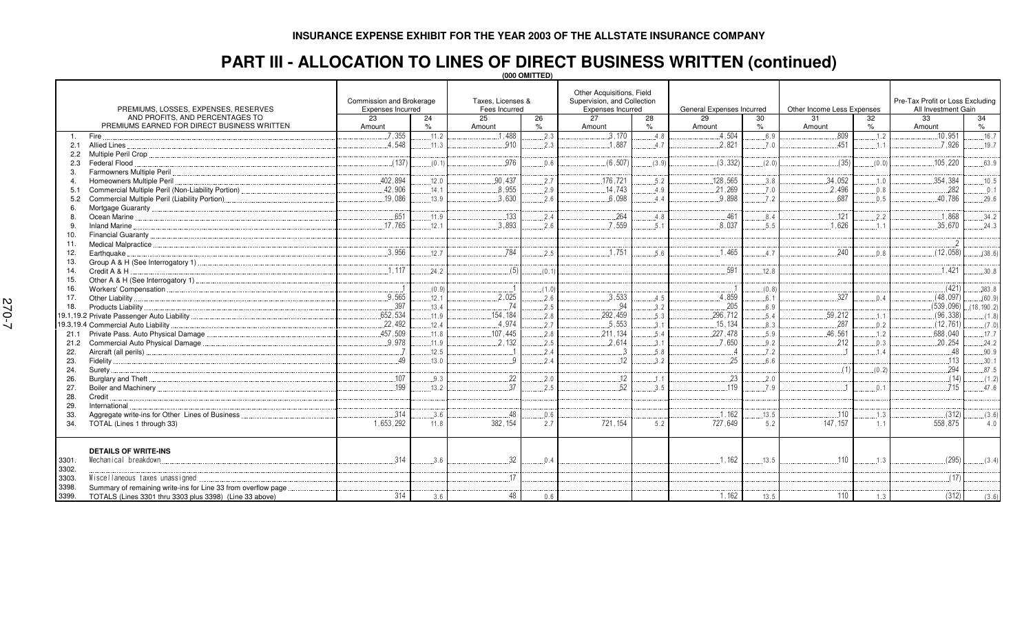## **PART III - ALLOCATION TO LINES OF DIRECT BUSINESS WRITTEN (continued)**

**(000 OMITTED)**

| PREMIUMS, LOSSES, EXPENSES, RESERVES                                   | Commission and Brokerage<br>Expenses Incurred |       | Taxes, Licenses &<br>Fees Incurred |       | Other Acquisitions, Field<br>Supervision, and Collection<br>Expenses Incurred |       | General Expenses Incurred |       | Other Income Less Expenses |       | Pre-Tax Profit or Loss Excluding<br>All Investment Gain |             |  |
|------------------------------------------------------------------------|-----------------------------------------------|-------|------------------------------------|-------|-------------------------------------------------------------------------------|-------|---------------------------|-------|----------------------------|-------|---------------------------------------------------------|-------------|--|
| AND PROFITS, AND PERCENTAGES TO                                        | 23                                            | 24    | 25                                 | 26    | 27                                                                            | 28    | 29                        | 30    | 31                         | 32    | 33                                                      | 34          |  |
| PREMIUMS EARNED FOR DIRECT BUSINESS WRITTEN                            | Amount                                        | $\%$  | Amount                             | $\%$  | Amount                                                                        | $\%$  | Amount                    | $\%$  | Amount                     | %     | Amount                                                  | $\%$        |  |
| Fire<br>1.                                                             | 7,355                                         | .11.2 | .488                               | .2.3  | .3,170                                                                        | 4.8   | .4,504                    | 6.9   | .809                       | 1.2   | .10,951                                                 | .16.7       |  |
| Allied Lines.<br>2.1                                                   | 4.548                                         | 11.3  | 910                                | .2.3  | 1.887                                                                         | 4.7   | 2.821                     | 7.0   | .451                       | 1.1   | 7.926                                                   | .19.7       |  |
| 2.2                                                                    |                                               |       |                                    |       |                                                                               |       |                           |       |                            |       |                                                         |             |  |
| Federal Flood<br>2.3                                                   | (137)                                         | (0.1) | 976                                | 0.6   | (6, 507)                                                                      | (3.9) | (3, 332)                  | (2.0) | (35)                       | (0.0) | .105.220                                                | .63.9       |  |
| Farmowners Multiple Peril.<br>3.                                       |                                               |       |                                    |       |                                                                               |       |                           |       |                            |       |                                                         |             |  |
| Homeowners Multiple Peril<br>$\mathbf 4$                               | 402.894                                       | 12.0  | 90.437                             | 2.7   | .176,721                                                                      | .5.2  | .128,565                  | 3.8   | .34,052                    | .1.0  | .354,384                                                | .10.5       |  |
| Commercial Multiple Peril (Non-Liability Portion)<br>5.1               | .42,906                                       | 14.1  | .8,955                             | 2.9   | .14,743                                                                       | .4.9  | .21,269                   | 7.0   | .2,496                     | 0.8   | .282                                                    | .0.1        |  |
| Commercial Multiple Peril (Liability Portion)<br>5.2                   | .19.086                                       | 13.9  | 3.630                              | .2.6  | 6.098                                                                         | 4.4   | 9.898                     | .7.2  | 687                        | 0.5   | .40.786                                                 | .29.6       |  |
| 6.                                                                     |                                               |       |                                    |       |                                                                               |       |                           |       |                            |       |                                                         |             |  |
| 8.                                                                     | 651                                           | .11.9 | .133                               | 2.4   | .264                                                                          | .4.8  | .461                      | .8.4  | .121                       | .2.2  | .1.868                                                  | .34.2       |  |
| Inland Marine<br>9.                                                    | .17.765                                       | .12.1 | 3.893                              | .2.6  | .7,559                                                                        | .5.1  | 8.037                     | .5.5  | 1,626                      | 1.1   | .35,670                                                 | .24.3       |  |
| 10.                                                                    |                                               |       |                                    |       |                                                                               |       |                           |       |                            |       |                                                         |             |  |
| 11.                                                                    |                                               |       |                                    |       |                                                                               |       |                           |       |                            |       | $\overline{2}$                                          |             |  |
| Earthquake.<br>12.                                                     | 3.956                                         | .12.7 | 784                                | .2.5  | 1.751                                                                         | .5.6  | 1.465                     | .4.7  | 240                        | 0.8   | (12, 058)                                               | (38.6)      |  |
| 13.                                                                    |                                               |       |                                    |       |                                                                               |       |                           |       |                            |       |                                                         |             |  |
| Credit A & H<br>14.                                                    | 1.117                                         | 24.2  | (5)                                | (0.1) |                                                                               |       | 591                       | .12.8 |                            |       | 1.421                                                   | .30.8       |  |
| 15.                                                                    |                                               |       |                                    |       |                                                                               |       |                           |       |                            |       |                                                         |             |  |
| 16.                                                                    |                                               | (0.9) |                                    | (1.0) |                                                                               |       |                           | (0.8) |                            |       | (421)                                                   | .383.8      |  |
| Other Liability<br>17.                                                 | .9,565                                        | .12.1 | .2,025                             | .2.6  | .3,533                                                                        | .4.5  | 4,859                     | .6.1  | 327                        | .0.4  | (48,097)                                                | (60.9)      |  |
| 18.<br>Products Liability                                              | 397                                           | .13.4 | -74                                | 2.5   | .94                                                                           | 3.2   | .205                      | 6.9   |                            |       | (539,096)                                               | (18, 190.2) |  |
|                                                                        | .652,534                                      | 11.9  | .154.184                           | 2.8   | .292,459                                                                      | 5.3   | .296,712                  | 5.4   | .59,212                    | 1.1   | (96, 338)                                               | (1.8)       |  |
| 19.3,19.4 Commercial Auto Liability                                    | .22,492                                       | .12.4 | 4.974                              | .2.7  | .5,553                                                                        | .3.1  | .15.134                   | .8.3  | 287                        | .0.2  | (12, 761)                                               | (7.0)       |  |
| Private Pass. Auto Physical Damage<br>21.1                             | 457,509                                       | .11.8 | .107,445                           | .2.8  | .211,134                                                                      | .5.4  | .227,478                  | .5.9  | .46,561                    | .1.2  | .688,040                                                | .17.7       |  |
| Commercial Auto Physical Damage<br>21.2                                | 9.978                                         | .11.9 | .2.132                             | .2.5  | .2,614                                                                        | .3.1  | .7.650                    | .9.2  | 212                        | 0.3   | .20,254                                                 | .24.2       |  |
| 22.                                                                    |                                               | .12.5 |                                    | 2.4   | Ĵ.                                                                            | .5.8  |                           | .7.2  |                            | 14    | 48                                                      | .90.9       |  |
| 23.                                                                    | 49                                            | 13.0  | q                                  | 2.4   | .12                                                                           | 3.2   | .25                       | 6.6   |                            |       | 113                                                     | .30.1       |  |
| 24.<br>Surety                                                          |                                               |       |                                    |       |                                                                               |       |                           |       | (1)                        | (0.2) | 294                                                     | .87.5       |  |
| 26.                                                                    | .107                                          | 9.3   | 22                                 | 2.0   | .12                                                                           | .1.1  | .23                       | .2.0  |                            |       | (14)                                                    | (1.2)       |  |
| 27.                                                                    | 199                                           | 13.2  | 37                                 | 2.5   | 52                                                                            | 3.5   | 119                       | 7.9   |                            | 0.1   | 715                                                     | .47.6       |  |
| 28.<br>Credit                                                          |                                               |       |                                    |       |                                                                               |       |                           |       |                            |       |                                                         |             |  |
| International<br>29.                                                   |                                               |       |                                    |       |                                                                               |       |                           |       |                            |       |                                                         |             |  |
| Aggregate write-ins for Other Lines of Business<br>33.                 | .314                                          | 3.6   | .48                                | 0.6   |                                                                               |       | .1,162                    | .13.5 | .110                       | .1.3  | (312)                                                   | (3.6)       |  |
| TOTAL (Lines 1 through 33)<br>34.                                      | 1.653.292                                     | 11.8  | 382.154                            | 2.7   | 721, 154                                                                      | 5.2   | 727.649                   | 5.2   | 147.157                    | 1.1   | 558,875                                                 | 4.0         |  |
| <b>DETAILS OF WRITE-INS</b><br>Mechanical breakdown<br>3301.<br>3302.  | 314                                           | .3.6  | 32                                 | 0.4   |                                                                               |       | .1.162                    | .13.5 | .110                       | 1.3   | (295)                                                   | (3.4)       |  |
| Miscellaneous taxes unassigned<br>3303.                                |                                               |       | 17                                 |       |                                                                               |       |                           |       |                            |       | (17)                                                    |             |  |
| Summary of remaining write-ins for Line 33 from overflow page<br>3398. |                                               |       |                                    |       |                                                                               |       |                           |       |                            |       |                                                         |             |  |
| 3399.<br>TOTALS (Lines 3301 thru 3303 plus 3398) (Line 33 above)       | 314                                           | 3.6   | 48                                 | 0.6   |                                                                               |       | 1,162                     | 13.5  | 110                        | 1.3   | (312)                                                   | (3.6)       |  |